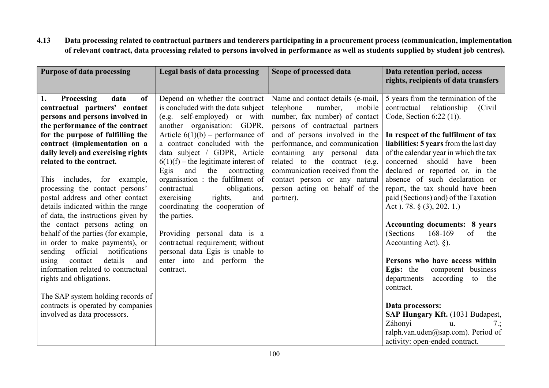4.13 Data processing related to contractual partners and tenderers participating in a procurement process (communication, implementation of relevant contract, data processing related to persons involved in performance as well as students supplied by student job centres).

| <b>Purpose of data processing</b>                                                                                                                                                                                                                                                                                                                                                                                                                                                                                                                                                                                                                                                                                                                                                                                                              | Legal basis of data processing                                                                                                                                                                                                                                                                                                                                                                                                                                                                                                                                                                                                   | Scope of processed data                                                                                                                                                                                                                                                                                                                                                                          | Data retention period, access<br>rights, recipients of data transfers                                                                                                                                                                                                                                                                                                                                                                                                                                                                                                                                                                                                                                                                                                                                                                            |
|------------------------------------------------------------------------------------------------------------------------------------------------------------------------------------------------------------------------------------------------------------------------------------------------------------------------------------------------------------------------------------------------------------------------------------------------------------------------------------------------------------------------------------------------------------------------------------------------------------------------------------------------------------------------------------------------------------------------------------------------------------------------------------------------------------------------------------------------|----------------------------------------------------------------------------------------------------------------------------------------------------------------------------------------------------------------------------------------------------------------------------------------------------------------------------------------------------------------------------------------------------------------------------------------------------------------------------------------------------------------------------------------------------------------------------------------------------------------------------------|--------------------------------------------------------------------------------------------------------------------------------------------------------------------------------------------------------------------------------------------------------------------------------------------------------------------------------------------------------------------------------------------------|--------------------------------------------------------------------------------------------------------------------------------------------------------------------------------------------------------------------------------------------------------------------------------------------------------------------------------------------------------------------------------------------------------------------------------------------------------------------------------------------------------------------------------------------------------------------------------------------------------------------------------------------------------------------------------------------------------------------------------------------------------------------------------------------------------------------------------------------------|
| Processing<br>data<br><sub>of</sub><br>1.<br>contractual partners' contact<br>persons and persons involved in<br>the performance of the contract<br>for the purpose of fulfilling the<br>contract (implementation on a<br>daily level) and exercising rights<br>related to the contract.<br>This includes, for example,<br>processing the contact persons'<br>postal address and other contact<br>details indicated within the range<br>of data, the instructions given by<br>the contact persons acting on<br>behalf of the parties (for example,<br>in order to make payments), or<br>notifications<br>sending<br>official<br>details<br>contact<br>using<br>and<br>information related to contractual<br>rights and obligations.<br>The SAP system holding records of<br>contracts is operated by companies<br>involved as data processors. | Depend on whether the contract<br>is concluded with the data subject<br>(e.g. self-employed) or with<br>another organisation: GDPR,<br>Article $6(1)(b)$ – performance of<br>a contract concluded with the<br>data subject / GDPR, Article<br>$6(1)(f)$ – the legitimate interest of<br>the<br>Egis<br>and<br>contracting<br>organisation: the fulfilment of<br>contractual<br>obligations,<br>rights,<br>exercising<br>and<br>coordinating the cooperation of<br>the parties.<br>Providing personal data is a<br>contractual requirement; without<br>personal data Egis is unable to<br>enter into and perform the<br>contract. | Name and contact details (e-mail,<br>telephone<br>number,<br>mobile<br>number, fax number) of contact<br>persons of contractual partners<br>and of persons involved in the<br>performance, and communication<br>containing any personal data<br>related to the contract (e.g.<br>communication received from the<br>contact person or any natural<br>person acting on behalf of the<br>partner). | 5 years from the termination of the<br>contractual relationship<br>(Civil)<br>Code, Section 6:22 (1)).<br>In respect of the fulfilment of tax<br>liabilities: 5 years from the last day<br>of the calendar year in which the tax<br>concerned should have been<br>declared or reported or, in the<br>absence of such declaration or<br>report, the tax should have been<br>paid (Sections) and) of the Taxation<br>Act ). 78. $\S$ (3), 202. 1.)<br><b>Accounting documents: 8 years</b><br>(Sections)<br>168-169<br>of<br>the<br>Accounting Act). $\S$ ).<br>Persons who have access within<br><b>Egis:</b> the<br>competent business<br>departments<br>according<br>to the<br>contract.<br>Data processors:<br>SAP Hungary Kft. (1031 Budapest,<br>Záhonyi<br>7:<br>u.<br>ralph.van.uden@sap.com). Period of<br>activity: open-ended contract. |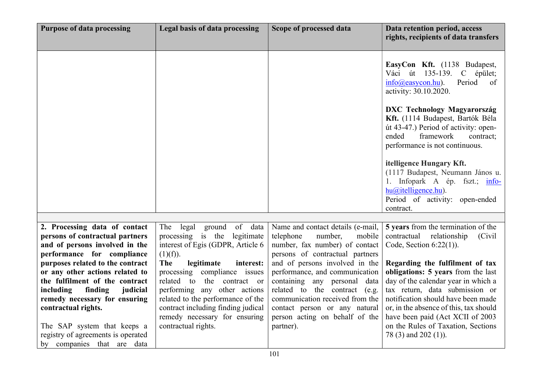| <b>Purpose of data processing</b>                                                                                                                                                                                                                                                                    | Legal basis of data processing                                                                                                                                                                                                                                         | Scope of processed data                                                                                                                                                                                                                              | Data retention period, access<br>rights, recipients of data transfers                                                                                                                                                                                                                                                            |
|------------------------------------------------------------------------------------------------------------------------------------------------------------------------------------------------------------------------------------------------------------------------------------------------------|------------------------------------------------------------------------------------------------------------------------------------------------------------------------------------------------------------------------------------------------------------------------|------------------------------------------------------------------------------------------------------------------------------------------------------------------------------------------------------------------------------------------------------|----------------------------------------------------------------------------------------------------------------------------------------------------------------------------------------------------------------------------------------------------------------------------------------------------------------------------------|
|                                                                                                                                                                                                                                                                                                      |                                                                                                                                                                                                                                                                        |                                                                                                                                                                                                                                                      | EasyCon Kft. (1138 Budapest,<br>Váci út 135-139. C épület;<br>$info(\omega)$ easycon.hu).<br>Period<br>of<br>activity: 30.10.2020.                                                                                                                                                                                               |
|                                                                                                                                                                                                                                                                                                      |                                                                                                                                                                                                                                                                        |                                                                                                                                                                                                                                                      | <b>DXC Technology Magyarország</b><br>Kft. (1114 Budapest, Bartók Béla<br>út 43-47.) Period of activity: open-<br>framework<br>ended<br>contract;<br>performance is not continuous.                                                                                                                                              |
|                                                                                                                                                                                                                                                                                                      |                                                                                                                                                                                                                                                                        |                                                                                                                                                                                                                                                      | itelligence Hungary Kft.<br>(1117 Budapest, Neumann János u.<br>1. Infopark A ép. fszt.; info-<br>$hu(\omega)$ itelligence.hu).<br>Period of activity: open-ended<br>contract.                                                                                                                                                   |
|                                                                                                                                                                                                                                                                                                      |                                                                                                                                                                                                                                                                        |                                                                                                                                                                                                                                                      |                                                                                                                                                                                                                                                                                                                                  |
| 2. Processing data of contact<br>persons of contractual partners<br>and of persons involved in the<br>performance for compliance                                                                                                                                                                     | The legal ground of data<br>processing is the legitimate<br>interest of Egis (GDPR, Article 6<br>(1)(f)).                                                                                                                                                              | Name and contact details (e-mail,<br>telephone<br>number,<br>mobile<br>number, fax number) of contact<br>persons of contractual partners                                                                                                             | 5 years from the termination of the<br>contractual relationship<br>(Civil)<br>Code, Section $6:22(1)$ ).                                                                                                                                                                                                                         |
| purposes related to the contract<br>or any other actions related to<br>the fulfilment of the contract<br>including<br>finding<br>judicial<br>remedy necessary for ensuring<br>contractual rights.<br>The SAP system that keeps a<br>registry of agreements is operated<br>by companies that are data | <b>The</b><br>legitimate<br>interest:<br>processing compliance issues<br>related to the contract or<br>performing any other actions<br>related to the performance of the<br>contract including finding judical<br>remedy necessary for ensuring<br>contractual rights. | and of persons involved in the<br>performance, and communication<br>containing any personal data<br>related to the contract (e.g.<br>communication received from the<br>contact person or any natural<br>person acting on behalf of the<br>partner). | Regarding the fulfilment of tax<br>obligations: 5 years from the last<br>day of the calendar year in which a<br>tax return, data submission or<br>notification should have been made<br>or, in the absence of this, tax should<br>have been paid (Act XCII of 2003<br>on the Rules of Taxation, Sections<br>78 (3) and 202 (1)). |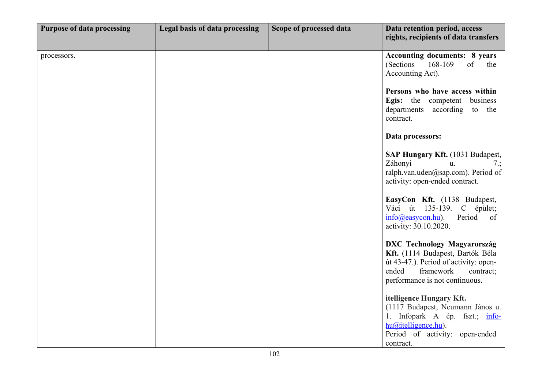| <b>Purpose of data processing</b> | Legal basis of data processing | Scope of processed data | Data retention period, access<br>rights, recipients of data transfers                                                                                                                |
|-----------------------------------|--------------------------------|-------------------------|--------------------------------------------------------------------------------------------------------------------------------------------------------------------------------------|
| processors.                       |                                |                         | <b>Accounting documents: 8 years</b><br>(Sections<br>168-169<br>of<br>the<br>Accounting Act).                                                                                        |
|                                   |                                |                         | Persons who have access within<br>Egis: the competent<br>business<br>departments according to the<br>contract.                                                                       |
|                                   |                                |                         | Data processors:                                                                                                                                                                     |
|                                   |                                |                         | SAP Hungary Kft. (1031 Budapest,<br>Záhonyi<br>u.<br>7:<br>ralph.van.uden@sap.com). Period of<br>activity: open-ended contract.                                                      |
|                                   |                                |                         | EasyCon Kft. (1138 Budapest,<br>Váci út 135-139. C épület;<br>Period<br>$info(\omega)$ easycon.hu).<br>of<br>activity: 30.10.2020.                                                   |
|                                   |                                |                         | <b>DXC Technology Magyarország</b><br>Kft. (1114 Budapest, Bartók Béla<br>út 43-47.). Period of activity: open-<br>ended<br>framework<br>contract;<br>performance is not continuous. |
|                                   |                                |                         | itelligence Hungary Kft.<br>(1117 Budapest, Neumann János u.<br>1. Infopark A ép. fszt.; info-<br>$hu(a)$ itelligence.hu).<br>Period of activity: open-ended<br>contract.            |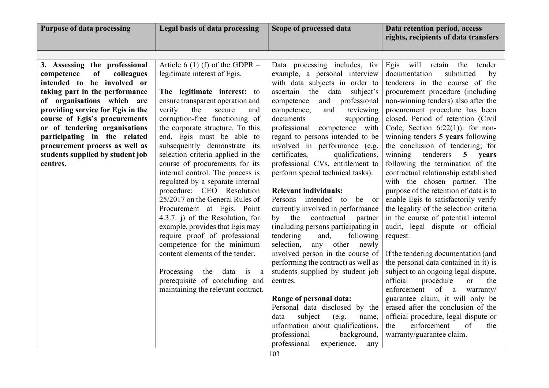| Legal basis of data processing                                                                                                                                                                                                                                                                                                                                                                                                                                                                                                                                                                                                                                                                                                                                                                                                                   | Scope of processed data                                                                                                                                                                                                                                                                                                                                                                                                                                                                                                                                                                                                                                                                                                                                                                                                                                                                                                                                                    | Data retention period, access<br>rights, recipients of data transfers                                                                                                                                                                                                                                                                                                                                                                                                                                                                                                                                                                                                                                                                                                                                                                                                                                                                                                                                                                                                                                                                   |
|--------------------------------------------------------------------------------------------------------------------------------------------------------------------------------------------------------------------------------------------------------------------------------------------------------------------------------------------------------------------------------------------------------------------------------------------------------------------------------------------------------------------------------------------------------------------------------------------------------------------------------------------------------------------------------------------------------------------------------------------------------------------------------------------------------------------------------------------------|----------------------------------------------------------------------------------------------------------------------------------------------------------------------------------------------------------------------------------------------------------------------------------------------------------------------------------------------------------------------------------------------------------------------------------------------------------------------------------------------------------------------------------------------------------------------------------------------------------------------------------------------------------------------------------------------------------------------------------------------------------------------------------------------------------------------------------------------------------------------------------------------------------------------------------------------------------------------------|-----------------------------------------------------------------------------------------------------------------------------------------------------------------------------------------------------------------------------------------------------------------------------------------------------------------------------------------------------------------------------------------------------------------------------------------------------------------------------------------------------------------------------------------------------------------------------------------------------------------------------------------------------------------------------------------------------------------------------------------------------------------------------------------------------------------------------------------------------------------------------------------------------------------------------------------------------------------------------------------------------------------------------------------------------------------------------------------------------------------------------------------|
|                                                                                                                                                                                                                                                                                                                                                                                                                                                                                                                                                                                                                                                                                                                                                                                                                                                  |                                                                                                                                                                                                                                                                                                                                                                                                                                                                                                                                                                                                                                                                                                                                                                                                                                                                                                                                                                            |                                                                                                                                                                                                                                                                                                                                                                                                                                                                                                                                                                                                                                                                                                                                                                                                                                                                                                                                                                                                                                                                                                                                         |
| Article 6 (1) (f) of the GDPR $-$<br>legitimate interest of Egis.<br>The legitimate interest: to<br>ensure transparent operation and<br>verify<br>the<br>secure<br>and<br>corruption-free functioning of<br>the corporate structure. To this<br>end, Egis must be able to<br>subsequently demonstrate its<br>selection criteria applied in the<br>course of procurements for its<br>internal control. The process is<br>regulated by a separate internal<br>procedure: CEO Resolution<br>25/2017 on the General Rules of<br>Procurement at Egis. Point<br>4.3.7. $\mathbf{j}$ of the Resolution, for<br>example, provides that Egis may<br>require proof of professional<br>competence for the minimum<br>content elements of the tender.<br>Processing the data is<br>a<br>prerequisite of concluding and<br>maintaining the relevant contract. | Data processing includes, for<br>example, a personal interview<br>with data subjects in order to<br>ascertain the data subject's<br>and professional<br>competence<br>and<br>competence,<br>reviewing<br>documents<br>supporting<br>professional competence with<br>regard to persons intended to be<br>involved in performance (e.g.<br>qualifications,<br>certificates,<br>professional CVs, entitlement to<br>perform special technical tasks).<br><b>Relevant individuals:</b><br>intended to<br>Persons<br>be or<br>currently involved in performance<br>contractual<br>by the<br>partner<br>(including persons participating in<br>tendering<br>following<br>and,<br>selection,<br>any other newly<br>involved person in the course of<br>performing the contract) as well as<br>students supplied by student job<br>centres.<br>Range of personal data:<br>Personal data disclosed by the<br>subject<br>(e.g.<br>data<br>name,<br>information about qualifications, | Egis will retain the<br>tender<br>documentation<br>submitted<br>by<br>tenderers in the course of the<br>procurement procedure (including<br>non-winning tenders) also after the<br>procurement procedure has been<br>closed. Period of retention (Civil<br>Code, Section $6:22(1)$ : for non-<br>winning tenders 5 years following<br>the conclusion of tendering; for<br>tenderers<br>winning<br>5<br>years<br>following the termination of the<br>contractual relationship established<br>with the chosen partner. The<br>purpose of the retention of data is to<br>enable Egis to satisfactorily verify<br>the legality of the selection criteria<br>in the course of potential internal<br>audit, legal dispute or official<br>request.<br>If the tendering documentation (and<br>the personal data contained in it) is<br>subject to an ongoing legal dispute,<br>official<br>procedure<br><sub>or</sub><br>the<br>enforcement of a<br>warranty/<br>guarantee claim, it will only be<br>erased after the conclusion of the<br>official procedure, legal dispute or<br>enforcement<br>of<br>the<br>the<br>warranty/guarantee claim. |
|                                                                                                                                                                                                                                                                                                                                                                                                                                                                                                                                                                                                                                                                                                                                                                                                                                                  | professional<br>experience,<br>any                                                                                                                                                                                                                                                                                                                                                                                                                                                                                                                                                                                                                                                                                                                                                                                                                                                                                                                                         |                                                                                                                                                                                                                                                                                                                                                                                                                                                                                                                                                                                                                                                                                                                                                                                                                                                                                                                                                                                                                                                                                                                                         |
|                                                                                                                                                                                                                                                                                                                                                                                                                                                                                                                                                                                                                                                                                                                                                                                                                                                  |                                                                                                                                                                                                                                                                                                                                                                                                                                                                                                                                                                                                                                                                                                                                                                                                                                                                                                                                                                            | professional<br>background,                                                                                                                                                                                                                                                                                                                                                                                                                                                                                                                                                                                                                                                                                                                                                                                                                                                                                                                                                                                                                                                                                                             |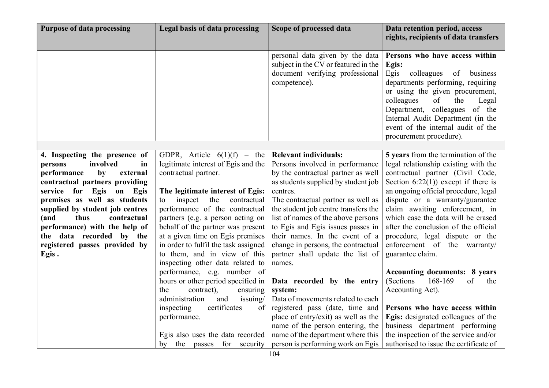| <b>Purpose of data processing</b>                        | Legal basis of data processing                                          | Scope of processed data                                                                                                    | Data retention period, access<br>rights, recipients of data transfers                                                                                                                                                                                                                                                           |
|----------------------------------------------------------|-------------------------------------------------------------------------|----------------------------------------------------------------------------------------------------------------------------|---------------------------------------------------------------------------------------------------------------------------------------------------------------------------------------------------------------------------------------------------------------------------------------------------------------------------------|
|                                                          |                                                                         | personal data given by the data<br>subject in the CV or featured in the<br>document verifying professional<br>competence). | Persons who have access within<br>Egis:<br>Egis<br>colleagues of business<br>departments performing, requiring<br>or using the given procurement,<br>colleagues<br>the<br>of<br>Legal<br>Department, colleagues<br>of the<br>Internal Audit Department (in the<br>event of the internal audit of the<br>procurement procedure). |
|                                                          |                                                                         |                                                                                                                            |                                                                                                                                                                                                                                                                                                                                 |
| 4. Inspecting the presence of                            | GDPR, Article $6(1)(f)$ – the                                           | <b>Relevant individuals:</b>                                                                                               | 5 years from the termination of the                                                                                                                                                                                                                                                                                             |
| involved<br>in<br>persons                                | legitimate interest of Egis and the                                     | Persons involved in performance                                                                                            | legal relationship existing with the                                                                                                                                                                                                                                                                                            |
| performance<br>by<br>external                            | contractual partner.                                                    | by the contractual partner as well                                                                                         | contractual partner (Civil Code,                                                                                                                                                                                                                                                                                                |
| contractual partners providing                           |                                                                         | as students supplied by student job                                                                                        | Section $6:22(1)$ ) except if there is                                                                                                                                                                                                                                                                                          |
| service for Egis on Egis<br>premises as well as students | The legitimate interest of Egis:<br>inspect<br>the<br>contractual<br>to | centres.                                                                                                                   | an ongoing official procedure, legal<br>dispute or a warranty/guarantee                                                                                                                                                                                                                                                         |
| supplied by student job centres                          | performance of the contractual                                          | The contractual partner as well as<br>the student job centre transfers the                                                 | claim awaiting enforcement, in                                                                                                                                                                                                                                                                                                  |
| thus<br>contractual<br>(and                              | partners (e.g. a person acting on                                       | list of names of the above persons                                                                                         | which case the data will be erased                                                                                                                                                                                                                                                                                              |
| performance) with the help of                            | behalf of the partner was present                                       | to Egis and Egis issues passes in                                                                                          | after the conclusion of the official                                                                                                                                                                                                                                                                                            |
| the data recorded by the                                 | at a given time on Egis premises                                        | their names. In the event of a                                                                                             | procedure, legal dispute or the                                                                                                                                                                                                                                                                                                 |
| registered passes provided by                            | in order to fulfil the task assigned                                    | change in persons, the contractual                                                                                         | enforcement of the warranty/                                                                                                                                                                                                                                                                                                    |
| Egis.                                                    | to them, and in view of this                                            | partner shall update the list of                                                                                           | guarantee claim.                                                                                                                                                                                                                                                                                                                |
|                                                          | inspecting other data related to                                        | names.                                                                                                                     |                                                                                                                                                                                                                                                                                                                                 |
|                                                          | performance, e.g. number of                                             |                                                                                                                            | <b>Accounting documents: 8 years</b>                                                                                                                                                                                                                                                                                            |
|                                                          | hours or other period specified in                                      | Data recorded by the entry                                                                                                 | (Sections<br>168-169<br>of<br>the                                                                                                                                                                                                                                                                                               |
|                                                          | contract),<br>ensuring<br>the                                           | system:                                                                                                                    | Accounting Act).                                                                                                                                                                                                                                                                                                                |
|                                                          | administration<br>and<br>issuing/                                       | Data of movements related to each                                                                                          |                                                                                                                                                                                                                                                                                                                                 |
|                                                          | certificates<br>inspecting<br>of                                        | registered pass (date, time and                                                                                            | Persons who have access within                                                                                                                                                                                                                                                                                                  |
|                                                          | performance.                                                            | place of entry/exit) as well as the                                                                                        | Egis: designated colleagues of the                                                                                                                                                                                                                                                                                              |
|                                                          |                                                                         | name of the person entering, the                                                                                           | business department performing                                                                                                                                                                                                                                                                                                  |
|                                                          | Egis also uses the data recorded                                        | name of the department where this                                                                                          | the inspection of the service and/or                                                                                                                                                                                                                                                                                            |
|                                                          | passes for security<br>by<br>the                                        | person is performing work on Egis                                                                                          | authorised to issue the certificate of                                                                                                                                                                                                                                                                                          |